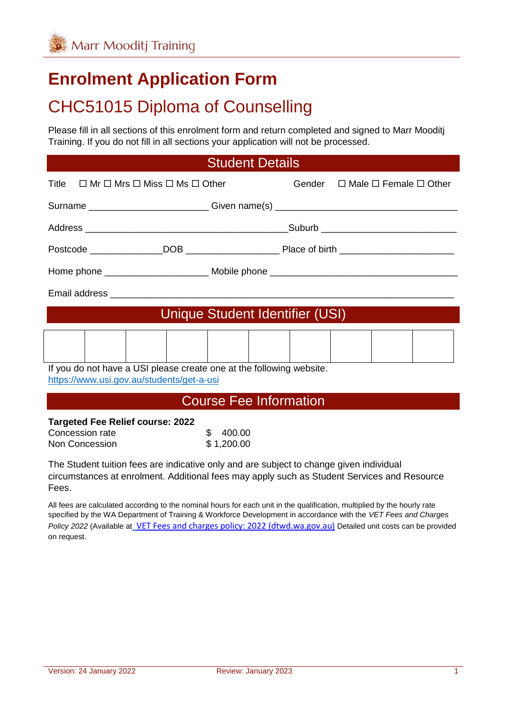# **Enrolment Application Form**

# CHC51015 Diploma of Counselling

Please fill in all sections of this enrolment form and return completed and signed to Marr Mooditj Training. If you do not fill in all sections your application will not be processed.

#### Student Details

| Title $\Box$ Mr $\Box$ Mrs $\Box$ Miss $\Box$ Ms $\Box$ Other                                                     |  | Gender $\Box$ Male $\Box$ Female $\Box$ Other |  |  |
|-------------------------------------------------------------------------------------------------------------------|--|-----------------------------------------------|--|--|
| Surname ____________________________Given name(s) ______________________________                                  |  |                                               |  |  |
|                                                                                                                   |  |                                               |  |  |
|                                                                                                                   |  |                                               |  |  |
|                                                                                                                   |  |                                               |  |  |
|                                                                                                                   |  |                                               |  |  |
| Unique Student Identifier (USI)                                                                                   |  |                                               |  |  |
|                                                                                                                   |  |                                               |  |  |
| If you do not have a USI please create one at the following website.<br>https://www.usi.gov.au/students/get-a-usi |  |                                               |  |  |

#### Course Fee Information

#### **Targeted Fee Relief course: 2022**

| Concession rate | 400.00     |
|-----------------|------------|
| Non Concession  | \$1,200.00 |

The Student tuition fees are indicative only and are subject to change given individual circumstances at enrolment. Additional fees may apply such as Student Services and Resource Fees.

All fees are calculated according to the nominal hours for each unit in the qualification, multiplied by the hourly rate specified by the WA Department of Training & Workforce Development in accordance with the *VET Fees and Charges Policy 2022* (Available at [VET Fees and charges policy: 2022 \(dtwd.wa.gov.au\)](https://www.dtwd.wa.gov.au/sites/default/files/uploads/dtwd-vet-fees-and-charges-2022-v1.0.pdf) Detailed unit costs can be provided on request.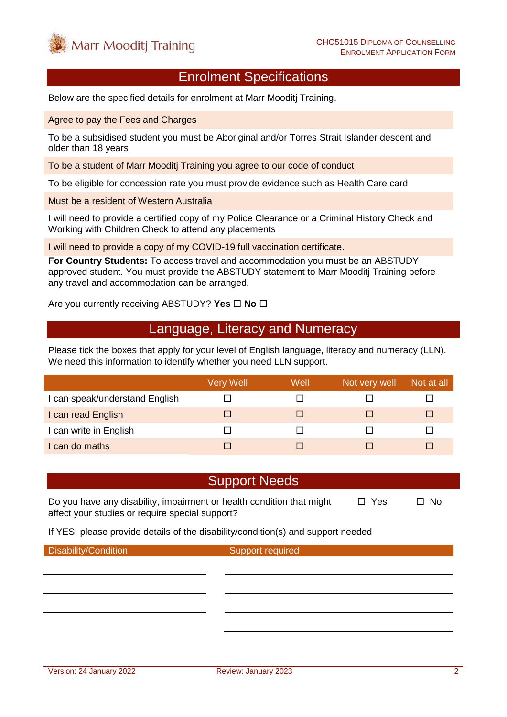#### Enrolment Specifications

Below are the specified details for enrolment at Marr Mooditj Training.

Agree to pay the Fees and Charges

To be a subsidised student you must be Aboriginal and/or Torres Strait Islander descent and older than 18 years

To be a student of Marr Mooditj Training you agree to our code of conduct

To be eligible for concession rate you must provide evidence such as Health Care card

Must be a resident of Western Australia

I will need to provide a certified copy of my Police Clearance or a Criminal History Check and Working with Children Check to attend any placements

I will need to provide a copy of my COVID-19 full vaccination certificate.

**For Country Students:** To access travel and accommodation you must be an ABSTUDY approved student. You must provide the ABSTUDY statement to Marr Mooditj Training before any travel and accommodation can be arranged.

Are you currently receiving ABSTUDY? Yes  $\Box$  No  $\Box$ 

#### Language, Literacy and Numeracy

Please tick the boxes that apply for your level of English language, literacy and numeracy (LLN). We need this information to identify whether you need LLN support.

|                                | Very Well | Well | Not very well | Not at all |
|--------------------------------|-----------|------|---------------|------------|
| I can speak/understand English |           |      |               |            |
| I can read English             |           |      |               | ш          |
| I can write in English         |           |      |               |            |
| I can do maths                 |           |      |               |            |

#### Support Needs

Do you have any disability, impairment or health condition that might  $\Box$  Yes  $\Box$  No affect your studies or require special support?

If YES, please provide details of the disability/condition(s) and support needed

Disability/Condition Support required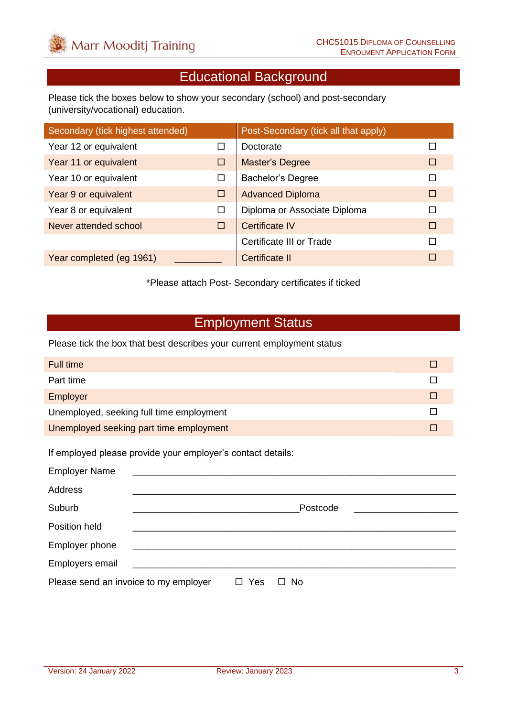# Educational Background

Please tick the boxes below to show your secondary (school) and post-secondary (university/vocational) education.

| Secondary (tick highest attended) |   | Post-Secondary (tick all that apply) |        |
|-----------------------------------|---|--------------------------------------|--------|
| Year 12 or equivalent             | □ | Doctorate                            |        |
| Year 11 or equivalent             | □ | <b>Master's Degree</b>               | П      |
| Year 10 or equivalent             | □ | <b>Bachelor's Degree</b>             |        |
| Year 9 or equivalent              | □ | <b>Advanced Diploma</b>              | $\Box$ |
| Year 8 or equivalent              | □ | Diploma or Associate Diploma         | П      |
| Never attended school             | □ | Certificate IV                       | $\Box$ |
|                                   |   | Certificate III or Trade             | П      |
| Year completed (eg 1961)          |   | Certificate II                       | П      |

\*Please attach Post- Secondary certificates if ticked

### Employment Status

Please tick the box that best describes your current employment status

| Full time                                |  |
|------------------------------------------|--|
| Part time                                |  |
| Employer                                 |  |
| Unemployed, seeking full time employment |  |
| Unemployed seeking part time employment  |  |

If employed please provide your employer's contact details:

| <b>Employer Name</b>                  |                |                     |
|---------------------------------------|----------------|---------------------|
| Address                               |                |                     |
| Suburb                                |                | Postcode            |
| Position held                         |                |                     |
| Employer phone                        |                |                     |
| Employers email                       |                |                     |
| Please send an invoice to my employer | Yes<br>$\perp$ | <b>No</b><br>$\Box$ |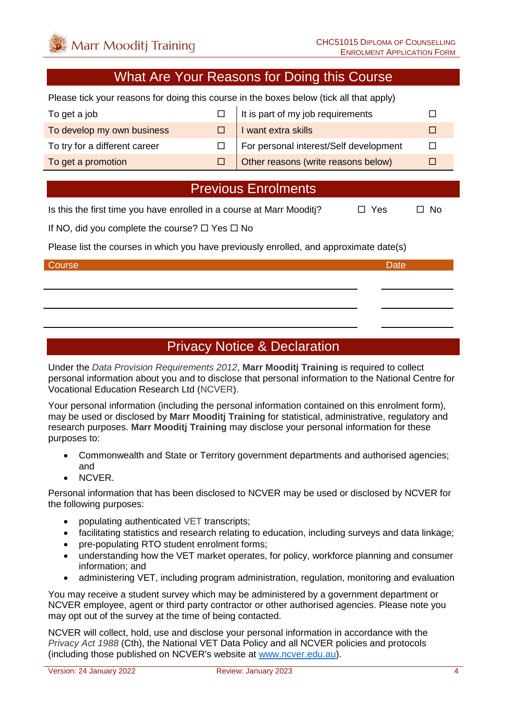#### What Are Your Reasons for Doing this Course

Please tick your reasons for doing this course in the boxes below (tick all that apply)

| To get a job                  | $\Box$ It is part of my job requirements   |  |
|-------------------------------|--------------------------------------------|--|
| To develop my own business    | $\Box$ I want extra skills                 |  |
| To try for a different career | For personal interest/Self development     |  |
| To get a promotion            | $\Box$ Other reasons (write reasons below) |  |

### Previous Enrolments

Is this the first time you have enrolled in a course at Marr Mooditi?  $\Box$  Yes  $\Box$  No

If NO, did you complete the course?  $\Box$  Yes  $\Box$  No

Please list the courses in which you have previously enrolled, and approximate date(s)

#### Course **Date** Date of the Course of the Course of the Course of the Course of the Date

## Privacy Notice & Declaration

Under the *Data Provision Requirements 2012*, **Marr Mooditj Training** is required to collect personal information about you and to disclose that personal information to the National Centre for Vocational Education Research Ltd (NCVER).

Your personal information (including the personal information contained on this enrolment form), may be used or disclosed by **Marr Mooditj Training** for statistical, administrative, regulatory and research purposes. **Marr Mooditj Training** may disclose your personal information for these purposes to:

- Commonwealth and State or Territory government departments and authorised agencies; and
- NCVER.

Personal information that has been disclosed to NCVER may be used or disclosed by NCVER for the following purposes:

- populating authenticated VET transcripts;
- facilitating statistics and research relating to education, including surveys and data linkage;
- pre-populating RTO student enrolment forms:
- understanding how the VET market operates, for policy, workforce planning and consumer information; and
- administering VET, including program administration, regulation, monitoring and evaluation

You may receive a student survey which may be administered by a government department or NCVER employee, agent or third party contractor or other authorised agencies. Please note you may opt out of the survey at the time of being contacted.

NCVER will collect, hold, use and disclose your personal information in accordance with the *Privacy Act 1988* (Cth), the National VET Data Policy and all NCVER policies and protocols (including those published on NCVER's website at [www.ncver.edu.au\)](http://www.ncver.edu.au/).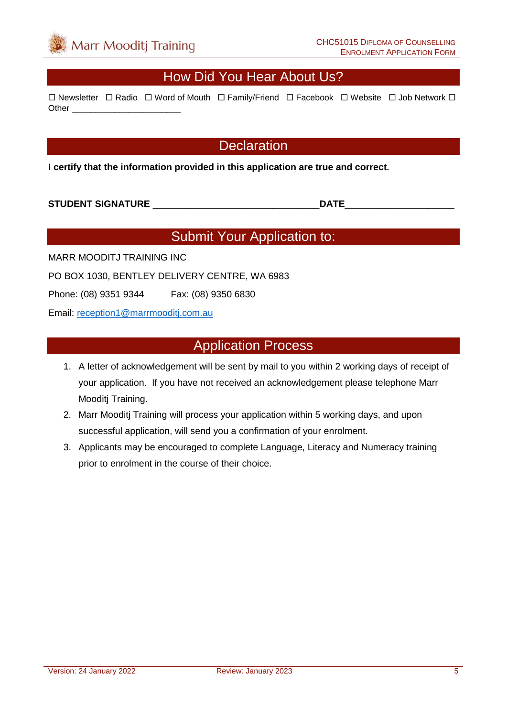#### How Did You Hear About Us?

 $\Box$  Newsletter  $\Box$  Radio  $\Box$  Word of Mouth  $\Box$  Family/Friend  $\Box$  Facebook  $\Box$  Website  $\Box$  Job Network  $\Box$ Other \_\_\_\_\_\_\_\_\_\_\_\_\_\_\_\_\_\_\_\_\_\_\_

#### **Declaration**

**I certify that the information provided in this application are true and correct.**

**STUDENT SIGNATURE** \_\_\_\_\_\_\_\_\_\_\_\_\_\_\_\_\_\_\_\_\_\_\_\_\_\_\_\_\_\_\_\_**DATE**\_\_\_\_\_\_\_\_\_\_\_\_\_\_\_\_\_\_\_\_\_

# Submit Your Application to:

MARR MOODITJ TRAINING INC

PO BOX 1030, BENTLEY DELIVERY CENTRE, WA 6983

Phone: (08) 9351 9344 Fax: (08) 9350 6830

Email: [reception1@marrmooditj.com.au](mailto:reception1@marrmooditj.com.au)

#### Application Process

- 1. A letter of acknowledgement will be sent by mail to you within 2 working days of receipt of your application. If you have not received an acknowledgement please telephone Marr Mooditj Training.
- 2. Marr Mooditj Training will process your application within 5 working days, and upon successful application, will send you a confirmation of your enrolment.
- 3. Applicants may be encouraged to complete Language, Literacy and Numeracy training prior to enrolment in the course of their choice.